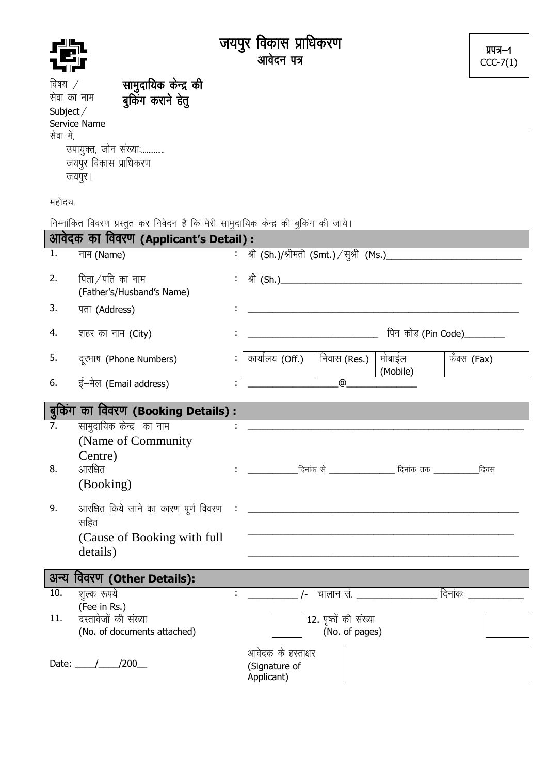|                                   |                                                                                                                             | जयपुर विकास प्राधिकरण<br>आवेदन पत्र                   | प्रपत्र–1<br>$CCC-7(1)$ |
|-----------------------------------|-----------------------------------------------------------------------------------------------------------------------------|-------------------------------------------------------|-------------------------|
| विषय /<br>सेवा का नाम<br>Subject/ | सामुदायिक केन्द्र की<br>बुकिंग कराने हेतु<br>Service Name                                                                   |                                                       |                         |
| सेवा में,                         | उपायुक्त, जोन संख्याः<br>जयपुर विकास प्राधिकरण<br>जयपुर ।                                                                   |                                                       |                         |
| महोदय,                            |                                                                                                                             |                                                       |                         |
|                                   | निम्नांकित विवरण प्रस्तुत कर निवेदन है कि मेरी सामुदायिक केन्द्र की बुकिंग की जाये।<br>आवेदक का विवरण (Applicant's Detail): |                                                       |                         |
| 1.                                | नाम (Name)                                                                                                                  |                                                       |                         |
| 2.                                | पिता ⁄ पति का नाम<br>(Father's/Husband's Name)                                                                              |                                                       |                         |
| 3.                                | पता (Address)                                                                                                               |                                                       |                         |
| 4.                                | शहर का नाम (City)                                                                                                           | पिन कोड (Pin Code)________                            |                         |
| 5.                                | दूरभाष (Phone Numbers)                                                                                                      | निवास (Res.)<br>मोबाईल<br>कार्यालय (Off.)<br>(Mobile) | फैक्स (Fax)             |
| 6.                                | ई-मेल (Email address)                                                                                                       | @                                                     |                         |
|                                   | बुकिंग का विवरण (Booking Details):                                                                                          |                                                       |                         |
| 7.<br>8.                          | सामुदायिक केन्द्र का नाम<br>(Name of Community)<br>Centre)<br>आरक्षित<br>(Booking)                                          |                                                       |                         |
| 9.                                | सहित<br>(Cause of Booking with full)<br>details)                                                                            |                                                       |                         |
|                                   | अन्य विवरण (Other Details):                                                                                                 |                                                       |                         |
| 10.                               | शुल्क रूपये<br>(Fee in Rs.)                                                                                                 |                                                       |                         |
| 11.                               | दस्तावेजों की संख्या<br>(No. of documents attached)                                                                         | 12. पृष्ठों की संख्या<br>(No. of pages)               |                         |
|                                   | Date: $/200$                                                                                                                | आवेदक के हस्ताक्षर<br>(Signature of<br>Applicant)     |                         |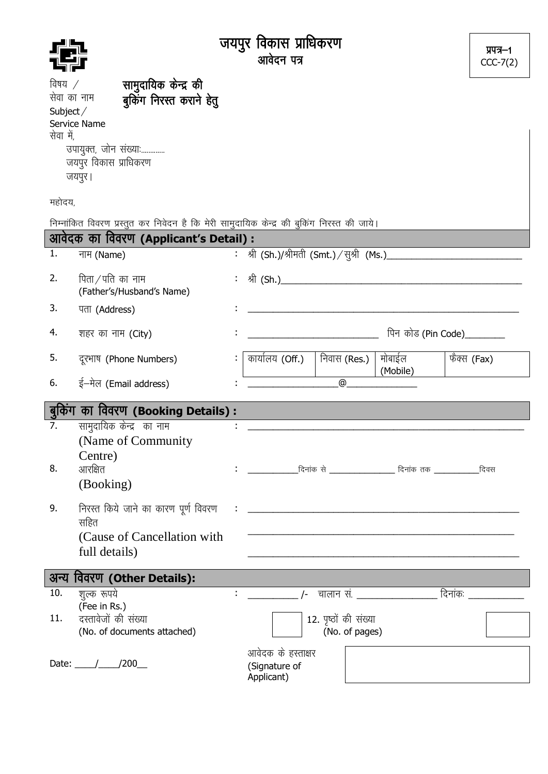|                                                        |                                                                                                                               | जयपुर विकास प्राधिकरण<br>आवेदन पत्र                   | प्रपत्र–1<br>$CCC-7(2)$ |
|--------------------------------------------------------|-------------------------------------------------------------------------------------------------------------------------------|-------------------------------------------------------|-------------------------|
| विषय /<br>सेवा का नाम<br>Subject $\angle$<br>सेवा में, | सामुदायिक केन्द्र की<br>बुकिंग निरस्त कराने हेतु<br>Service Name<br>उपायुक्त, जोन संख्याः<br>जयपुर विकास प्राधिकरण<br>जयपुर । |                                                       |                         |
| महोदय,                                                 |                                                                                                                               |                                                       |                         |
|                                                        | निम्नांकित विवरण प्रस्तुत कर निवेदन है कि मेरी सामुदायिक केन्द्र की बुकिंग निरस्त की जाये।                                    |                                                       |                         |
| 1.                                                     | आवेदक का विवरण (Applicant's Detail) :                                                                                         | : श्री (Sh.)/श्रीमती (Smt.) / सुश्री (Ms.)__________  |                         |
|                                                        | नाम (Name)                                                                                                                    |                                                       |                         |
| 2.                                                     | पिता ⁄ पति का नाम<br>(Father's/Husband's Name)                                                                                |                                                       |                         |
| 3.                                                     | पता (Address)                                                                                                                 |                                                       |                         |
| 4.                                                     | शहर का नाम (City)                                                                                                             | पिन कोड (Pin Code)________                            |                         |
| 5.                                                     | दूरभाष (Phone Numbers)                                                                                                        | मोबाईल<br>कार्यालय (Off.)<br>निवास (Res.)<br>(Mobile) | फैक्स (Fax)             |
| 6.                                                     | ई-मेल (Email address)                                                                                                         | @                                                     |                         |
|                                                        | बुकिंग का विवरण (Booking Details):                                                                                            |                                                       |                         |
| 7.<br>8.                                               | सामुदायिक केन्द्र का नाम<br>(Name of Community)<br>Centre)<br>आरक्षित<br>(Booking)                                            |                                                       |                         |
| 9.                                                     | सहित<br>(Cause of Cancellation with)<br>full details)                                                                         |                                                       |                         |
|                                                        |                                                                                                                               |                                                       |                         |
| 10.                                                    | अन्य विवरण (Other Details):                                                                                                   |                                                       |                         |
|                                                        | शूल्क रूपये<br>(Fee in Rs.)                                                                                                   |                                                       |                         |
| 11.                                                    | दस्तावेजों की संख्या<br>(No. of documents attached)                                                                           | 12. पृष्ठों की संख्या<br>(No. of pages)               |                         |
|                                                        | Date: $\frac{1}{200}$                                                                                                         | आवेदक के हस्ताक्षर<br>(Signature of<br>Applicant)     |                         |